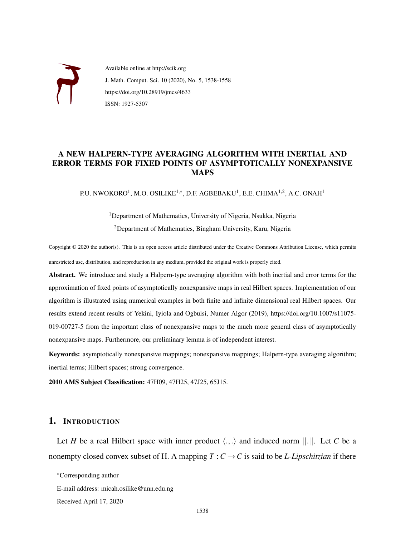

Available online at http://scik.org J. Math. Comput. Sci. 10 (2020), No. 5, 1538-1558 https://doi.org/10.28919/jmcs/4633 ISSN: 1927-5307

# A NEW HALPERN-TYPE AVERAGING ALGORITHM WITH INERTIAL AND ERROR TERMS FOR FIXED POINTS OF ASYMPTOTICALLY NONEXPANSIVE MAPS

P.U. NWOKORO $^1$ , M.O. OSILIKE $^{1,\ast}$ , D.F. AGBEBAKU $^1$ , E.E. CHIMA $^{1,2}$ , A.C. ONAH $^1$ 

# <sup>1</sup>Department of Mathematics, University of Nigeria, Nsukka, Nigeria <sup>2</sup>Department of Mathematics, Bingham University, Karu, Nigeria

Copyright © 2020 the author(s). This is an open access article distributed under the Creative Commons Attribution License, which permits unrestricted use, distribution, and reproduction in any medium, provided the original work is properly cited.

Abstract. We introduce and study a Halpern-type averaging algorithm with both inertial and error terms for the approximation of fixed points of asymptotically nonexpansive maps in real Hilbert spaces. Implementation of our algorithm is illustrated using numerical examples in both finite and infinite dimensional real Hilbert spaces. Our results extend recent results of Yekini, Iyiola and Ogbuisi, Numer Algor (2019), https://doi.org/10.1007/s11075- 019-00727-5 from the important class of nonexpansive maps to the much more general class of asymptotically nonexpansive maps. Furthermore, our preliminary lemma is of independent interest.

Keywords: asymptotically nonexpansive mappings; nonexpansive mappings; Halpern-type averaging algorithm; inertial terms; Hilbert spaces; strong convergence.

2010 AMS Subject Classification: 47H09, 47H25, 47J25, 65J15.

## 1. INTRODUCTION

Let *H* be a real Hilbert space with inner product  $\langle ., . \rangle$  and induced norm  $||.||.$  Let *C* be a nonempty closed convex subset of H. A mapping  $T : C \to C$  is said to be *L-Lipschitzian* if there

<sup>∗</sup>Corresponding author

E-mail address: micah.osilike@unn.edu.ng

Received April 17, 2020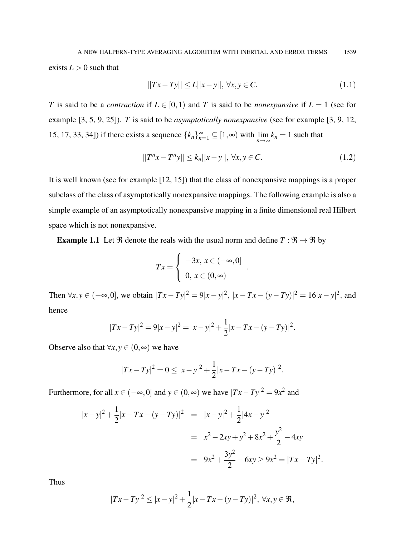exists  $L > 0$  such that

$$
||Tx - Ty|| \le L||x - y||, \,\forall x, y \in C.
$$
\n(1.1)

*T* is said to be a *contraction* if  $L \in [0,1)$  and *T* is said to be *nonexpansive* if  $L = 1$  (see for example [3, 5, 9, 25]). *T* is said to be *asymptotically nonexpansive* (see for example [3, 9, 12, 15, 17, 33, 34]) if there exists a sequence  ${k_h}_{n=1}^{\infty} \subseteq [1, \infty)$  with  $\lim_{n \to \infty} k_n = 1$  such that

$$
||T^{n}x - T^{n}y|| \le k_n ||x - y||, \,\forall x, y \in C.
$$
\n(1.2)

.

It is well known (see for example [12, 15]) that the class of nonexpansive mappings is a proper subclass of the class of asymptotically nonexpansive mappings. The following example is also a simple example of an asymptotically nonexpansive mapping in a finite dimensional real Hilbert space which is not nonexpansive.

**Example 1.1** Let  $\Re$  denote the reals with the usual norm and define  $T : \Re \rightarrow \Re$  by

$$
Tx = \begin{cases} -3x, x \in (-\infty, 0] \\ 0, x \in (0, \infty) \end{cases}
$$

Then  $\forall x, y \in (-\infty, 0]$ , we obtain  $|Tx - Ty|^2 = 9|x - y|^2$ ,  $|x - Tx - (y - Ty)|^2 = 16|x - y|^2$ , and hence

$$
|Tx - Ty|^2 = 9|x - y|^2 = |x - y|^2 + \frac{1}{2}|x - Tx - (y - Ty)|^2.
$$

Observe also that  $\forall x, y \in (0, \infty)$  we have

$$
|Tx - Ty|^2 = 0 \le |x - y|^2 + \frac{1}{2}|x - Tx - (y - Ty)|^2.
$$

Furthermore, for all  $x \in (-\infty, 0]$  and  $y \in (0, \infty)$  we have  $|Tx - Ty|^2 = 9x^2$  and

$$
|x-y|^2 + \frac{1}{2}|x - Tx - (y - Ty)|^2 = |x-y|^2 + \frac{1}{2}|4x - y|^2
$$
  
=  $x^2 - 2xy + y^2 + 8x^2 + \frac{y^2}{2} - 4xy$   
=  $9x^2 + \frac{3y^2}{2} - 6xy \ge 9x^2 = |Tx - Ty|^2$ .

Thus

$$
|Tx - Ty|^2 \le |x - y|^2 + \frac{1}{2}|x - Tx - (y - Ty)|^2, \ \forall x, y \in \mathfrak{R},
$$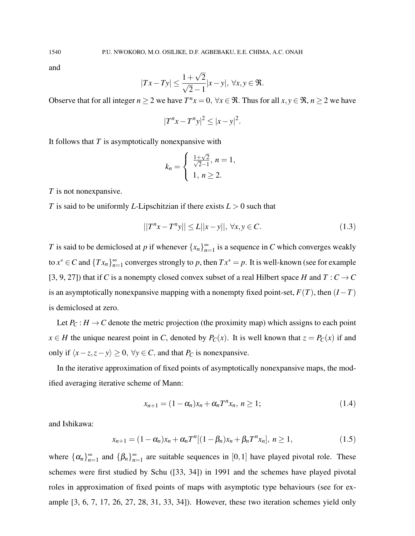and

$$
|Tx - Ty| \le \frac{1 + \sqrt{2}}{\sqrt{2} - 1}|x - y|, \ \forall x, y \in \mathfrak{R}.
$$

Observe that for all integer  $n \ge 2$  we have  $T^n x = 0$ ,  $\forall x \in \Re$ . Thus for all  $x, y \in \Re$ ,  $n \ge 2$  we have

$$
|T^n x - T^n y|^2 \le |x - y|^2.
$$

It follows that *T* is asymptotically nonexpansive with

$$
k_n = \begin{cases} \frac{1+\sqrt{2}}{\sqrt{2}-1}, \ n = 1, \\ 1, \ n \ge 2. \end{cases}
$$

*T* is not nonexpansive.

*T* is said to be uniformly *L*-Lipschitzian if there exists *L* > 0 such that

$$
||T^{n}x - T^{n}y|| \le L||x - y||, \,\forall x, y \in C.
$$
\n(1.3)

*T* is said to be demiclosed at *p* if whenever  $\{x_n\}_{n=1}^{\infty}$  is a sequence in *C* which converges weakly to  $x^* \in C$  and  $\{Tx_n\}_{n=1}^{\infty}$  converges strongly to *p*, then  $Tx^* = p$ . It is well-known (see for example [3, 9, 27]) that if *C* is a nonempty closed convex subset of a real Hilbert space *H* and  $T: C \rightarrow C$ is an asymptotically nonexpansive mapping with a nonempty fixed point-set,  $F(T)$ , then  $(I - T)$ is demiclosed at zero.

Let  $P_C$ :  $H \to C$  denote the metric projection (the proximity map) which assigns to each point *x* ∈ *H* the unique nearest point in *C*, denoted by *P*<sub>*C*</sub>(*x*). It is well known that  $z = P_c(x)$  if and only if  $\langle x-z, z-y \rangle \ge 0$ ,  $\forall y \in C$ , and that  $P_C$  is nonexpansive.

In the iterative approximation of fixed points of asymptotically nonexpansive maps, the modified averaging iterative scheme of Mann:

$$
x_{n+1} = (1 - \alpha_n)x_n + \alpha_n T^n x_n, \, n \ge 1; \tag{1.4}
$$

and Ishikawa:

$$
x_{n+1} = (1 - \alpha_n)x_n + \alpha_n T^n[(1 - \beta_n)x_n + \beta_n T^n x_n], \ n \ge 1,
$$
\n(1.5)

where  $\{\alpha_n\}_{n=1}^{\infty}$  and  $\{\beta_n\}_{n=1}^{\infty}$  are suitable sequences in [0,1] have played pivotal role. These schemes were first studied by Schu ([33, 34]) in 1991 and the schemes have played pivotal roles in approximation of fixed points of maps with asymptotic type behaviours (see for example [3, 6, 7, 17, 26, 27, 28, 31, 33, 34]). However, these two iteration schemes yield only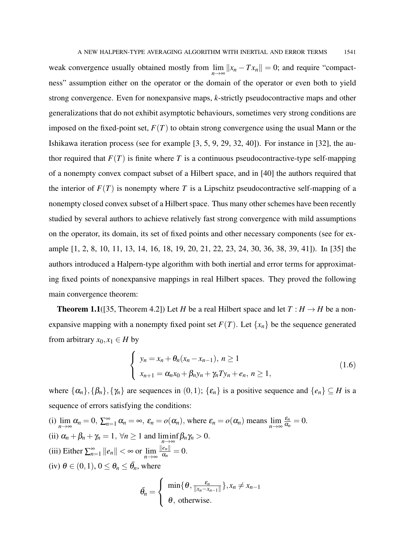weak convergence usually obtained mostly from  $\lim_{n\to\infty} ||x_n - Tx_n|| = 0$ ; and require "compactness" assumption either on the operator or the domain of the operator or even both to yield strong convergence. Even for nonexpansive maps, *k*-strictly pseudocontractive maps and other generalizations that do not exhibit asymptotic behaviours, sometimes very strong conditions are imposed on the fixed-point set,  $F(T)$  to obtain strong convergence using the usual Mann or the Ishikawa iteration process (see for example [3, 5, 9, 29, 32, 40]). For instance in [32], the author required that  $F(T)$  is finite where T is a continuous pseudocontractive-type self-mapping of a nonempty convex compact subset of a Hilbert space, and in [40] the authors required that the interior of  $F(T)$  is nonempty where T is a Lipschitz pseudocontractive self-mapping of a nonempty closed convex subset of a Hilbert space. Thus many other schemes have been recently studied by several authors to achieve relatively fast strong convergence with mild assumptions on the operator, its domain, its set of fixed points and other necessary components (see for example [1, 2, 8, 10, 11, 13, 14, 16, 18, 19, 20, 21, 22, 23, 24, 30, 36, 38, 39, 41]). In [35] the authors introduced a Halpern-type algorithm with both inertial and error terms for approximating fixed points of nonexpansive mappings in real Hilbert spaces. They proved the following main convergence theorem:

**Theorem 1.1**([35, Theorem 4.2]) Let *H* be a real Hilbert space and let  $T : H \to H$  be a nonexpansive mapping with a nonempty fixed point set  $F(T)$ . Let  $\{x_n\}$  be the sequence generated from arbitrary  $x_0, x_1 \in H$  by

$$
\begin{cases}\n y_n = x_n + \theta_n (x_n - x_{n-1}), \ n \ge 1 \\
x_{n+1} = \alpha_n x_0 + \beta_n y_n + \gamma_n T y_n + e_n, \ n \ge 1,\n\end{cases}
$$
\n(1.6)

where  $\{\alpha_n\}, \{\beta_n\}, \{\gamma_n\}$  are sequences in  $(0,1)$ ;  $\{\varepsilon_n\}$  is a positive sequence and  $\{e_n\} \subseteq H$  is a sequence of errors satisfying the conditions:

(i)  $\lim_{n \to \infty} \alpha_n = 0$ ,  $\sum_{n=1}^{\infty} \alpha_n = \infty$ ,  $\varepsilon_n = o(\alpha_n)$ , where  $\varepsilon_n = o(\alpha_n)$  means  $\lim_{n \to \infty}$ ε*n*  $\frac{\varepsilon_n}{\alpha_n}=0.$ (ii)  $\alpha_n + \beta_n + \gamma_n = 1$ ,  $\forall n \ge 1$  and  $\liminf_{n \to \infty} \beta_n \gamma_n > 0$ . (iii) Either  $\sum_{n=1}^{\infty} ||e_n|| < \infty$  or  $\lim_{n \to \infty}$  $\|e_n\|$  $\frac{e_{n||}}{\alpha_n} = 0.$ (iv)  $\theta \in (0, 1)$ ,  $0 \leq \theta_n \leq \bar{\theta_n}$ , where  $\sqrt{ }$ 

$$
\bar{\theta}_n = \left\{\begin{array}{c}\min\{\theta, \frac{\varepsilon_n}{\|x_n - x_{n-1}\|}\}, x_n \neq x_{n-1} \\ \theta, \text{ otherwise.}\end{array}\right.
$$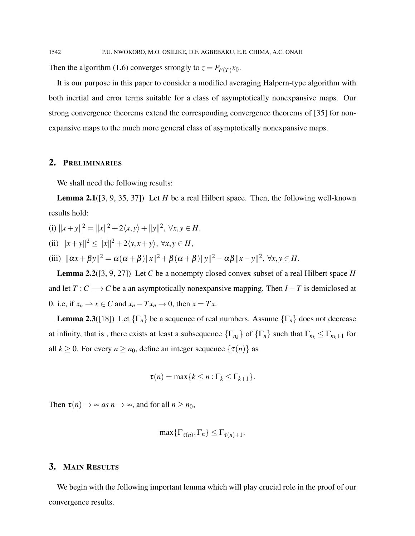Then the algorithm (1.6) converges strongly to  $z = P_{F(T)}x_0$ .

It is our purpose in this paper to consider a modified averaging Halpern-type algorithm with both inertial and error terms suitable for a class of asymptotically nonexpansive maps. Our strong convergence theorems extend the corresponding convergence theorems of [35] for nonexpansive maps to the much more general class of asymptotically nonexpansive maps.

### 2. PRELIMINARIES

We shall need the following results:

Lemma 2.1([3, 9, 35, 37]) Let *H* be a real Hilbert space. Then, the following well-known results hold:

(i)  $||x+y||^2 = ||x||^2 + 2\langle x, y \rangle + ||y||^2, \forall x, y \in H$ , (ii)  $||x+y||^2 \le ||x||^2 + 2\langle y, x+y \rangle, \forall x, y \in H,$ (iii)  $\|\alpha x + \beta y\|^2 = \alpha(\alpha + \beta)\|x\|^2 + \beta(\alpha + \beta)\|y\|^2 - \alpha\beta\|x - y\|^2, \forall x, y \in H.$ 

Lemma 2.2([3, 9, 27]) Let *C* be a nonempty closed convex subset of a real Hilbert space *H* and let  $T: C \longrightarrow C$  be a an asymptotically nonexpansive mapping. Then  $I - T$  is demiclosed at 0. i.e, if  $x_n \rightharpoonup x \in C$  and  $x_n - Tx_n \to 0$ , then  $x = Tx$ .

**Lemma 2.3**([18]) Let  $\{\Gamma_n\}$  be a sequence of real numbers. Assume  $\{\Gamma_n\}$  does not decrease at infinity, that is, there exists at least a subsequence  $\{\Gamma_{n_k}\}$  of  $\{\Gamma_n\}$  such that  $\Gamma_{n_k} \leq \Gamma_{n_k+1}$  for all  $k \ge 0$ . For every  $n \ge n_0$ , define an integer sequence  $\{\tau(n)\}\$ as

$$
\tau(n) = \max\{k \leq n : \Gamma_k \leq \Gamma_{k+1}\}.
$$

Then  $\tau(n) \to \infty$  *as*  $n \to \infty$ , and for all  $n \ge n_0$ ,

$$
\max\{\Gamma_{\tau(n)},\Gamma_n\} \leq \Gamma_{\tau(n)+1}.
$$

### 3. MAIN RESULTS

We begin with the following important lemma which will play crucial role in the proof of our convergence results.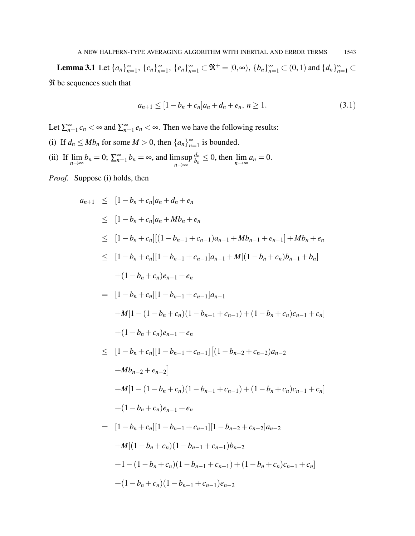**Lemma 3.1** Let  $\{a_n\}_{n=1}^{\infty}$ ,  $\{c_n\}_{n=1}^{\infty}$ ,  $\{e_n\}_{n=1}^{\infty}$   $\subset \mathfrak{R}^+$  =  $[0, \infty)$ ,  $\{b_n\}_{n=1}^{\infty}$   $\subset (0,1)$  and  $\{d_n\}_{n=1}^{\infty}$   $\subset$ ℜ be sequences such that

$$
a_{n+1} \le [1 - b_n + c_n]a_n + d_n + e_n, n \ge 1. \tag{3.1}
$$

Let  $\sum_{n=1}^{\infty} c_n < \infty$  and  $\sum_{n=1}^{\infty} e_n < \infty$ . Then we have the following results:

- (i) If  $d_n \le Mb_n$  for some  $M > 0$ , then  $\{a_n\}_{n=1}^{\infty}$  is bounded.
- (ii) If  $\lim_{n \to \infty} b_n = 0$ ;  $\sum_{n=1}^{\infty} b_n = \infty$ , and  $\limsup_{n \to \infty}$ *n*→∞ *dn*  $\frac{a_n}{b_n} \leq 0$ , then  $\lim_{n \to \infty} a_n = 0$ .

*Proof.* Suppose (i) holds, then

$$
a_{n+1} \leq [1 - b_n + c_n]a_n + d_n + e_n
$$
  
\n
$$
\leq [1 - b_n + c_n]a_n + Mb_n + e_n
$$
  
\n
$$
\leq [1 - b_n + c_n][(1 - b_{n-1} + c_{n-1})a_{n-1} + Mb_{n-1} + e_{n-1}] + Mb_n + e_n
$$
  
\n
$$
\leq [1 - b_n + c_n][1 - b_{n-1} + c_{n-1}]a_{n-1} + M[(1 - b_n + c_n)b_{n-1} + b_n]
$$
  
\n
$$
+ (1 - b_n + c_n)e_{n-1} + e_n
$$
  
\n
$$
= [1 - b_n + c_n][1 - b_{n-1} + c_{n-1}]a_{n-1}
$$
  
\n
$$
+ M[1 - (1 - b_n + c_n)(1 - b_{n-1} + c_{n-1}) + (1 - b_n + c_n)c_{n-1} + c_n]
$$
  
\n
$$
+ (1 - b_n + c_n)e_{n-1} + e_n
$$
  
\n
$$
\leq [1 - b_n + c_n][1 - b_{n-1} + c_{n-1}][(1 - b_{n-2} + c_{n-2})a_{n-2}
$$
  
\n
$$
+ Mb_{n-2} + e_{n-2}]
$$
  
\n
$$
+ M[1 - (1 - b_n + c_n)(1 - b_{n-1} + c_{n-1}) + (1 - b_n + c_n)c_{n-1} + c_n]
$$
  
\n
$$
+ (1 - b_n + c_n)e_{n-1} + e_n
$$
  
\n
$$
= [1 - b_n + c_n][1 - b_{n-1} + c_{n-1}][1 - b_{n-2} + c_{n-2}]a_{n-2}
$$
  
\n
$$
+ M[(1 - b_n + c_n)(1 - b_{n-1} + c_{n-1}) + (1 - b_n + c_n)c_{n-1} + c_n]
$$
  
\n
$$
+ (1 - b_n + c_n)(1 - b_{n-1} + c_{n-1})e_{n-2}
$$
  
\n
$$
+ 1 - (1 - b_n + c_n)(1 - b_{n-1} + c_{n-1})e_{n-2}
$$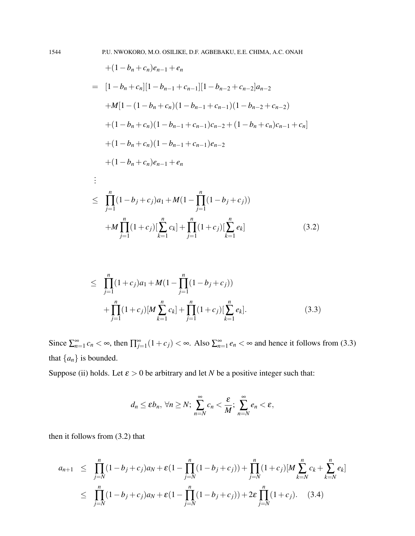$$
+(1 - b_n + c_n)e_{n-1} + e_n
$$
  
=  $[1 - b_n + c_n][1 - b_{n-1} + c_{n-1}][1 - b_{n-2} + c_{n-2}]a_{n-2}$   
+ $M[1 - (1 - b_n + c_n)(1 - b_{n-1} + c_{n-1})(1 - b_{n-2} + c_{n-2})$   
+ $(1 - b_n + c_n)(1 - b_{n-1} + c_{n-1})c_{n-2} + (1 - b_n + c_n)c_{n-1} + c_n]$   
+ $(1 - b_n + c_n)(1 - b_{n-1} + c_{n-1})e_{n-2}$   
+ $(1 - b_n + c_n)e_{n-1} + e_n$   
:  

$$
\leq \prod_{j=1}^n (1 - b_j + c_j)a_1 + M(1 - \prod_{j=1}^n (1 - b_j + c_j))
$$
  
+ $M \prod_{j=1}^n (1 + c_j)[\sum_{k=1}^n c_k] + \prod_{j=1}^n (1 + c_j)[\sum_{k=1}^n e_k]$  (3.2)

$$
\leq \prod_{j=1}^{n} (1+c_j)a_1 + M(1-\prod_{j=1}^{n} (1-b_j+c_j)) + \prod_{j=1}^{n} (1+c_j)[M \sum_{k=1}^{n} c_k] + \prod_{j=1}^{n} (1+c_j)[\sum_{k=1}^{n} e_k]. \tag{3.3}
$$

Since  $\sum_{n=1}^{\infty} c_n < \infty$ , then  $\prod_{j=1}^{\infty} (1 + c_j) < \infty$ . Also  $\sum_{n=1}^{\infty} e_n < \infty$  and hence it follows from (3.3) that  $\{a_n\}$  is bounded.

Suppose (ii) holds. Let  $\varepsilon > 0$  be arbitrary and let *N* be a positive integer such that:

$$
d_n \le \varepsilon b_n, \forall n \ge N; \ \sum_{n=N}^{\infty} c_n < \frac{\varepsilon}{M}; \ \sum_{n=N}^{\infty} e_n < \varepsilon,
$$

then it follows from (3.2) that

$$
a_{n+1} \leq \prod_{j=N}^{n} (1 - b_j + c_j) a_N + \varepsilon (1 - \prod_{j=N}^{n} (1 - b_j + c_j)) + \prod_{j=N}^{n} (1 + c_j) [M \sum_{k=N}^{n} c_k + \sum_{k=N}^{n} e_k]
$$
  

$$
\leq \prod_{j=N}^{n} (1 - b_j + c_j) a_N + \varepsilon (1 - \prod_{j=N}^{n} (1 - b_j + c_j)) + 2\varepsilon \prod_{j=N}^{n} (1 + c_j). \quad (3.4)
$$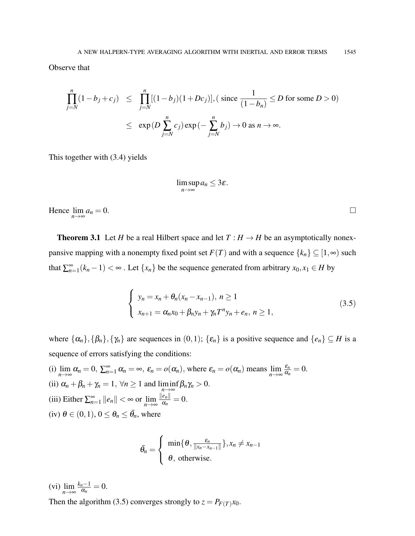Observe that

$$
\prod_{j=N}^{n} (1 - b_j + c_j) \leq \prod_{j=N}^{n} [(1 - b_j)(1 + Dc_j)], (\text{ since } \frac{1}{(1 - b_n)} \leq D \text{ for some } D > 0)
$$
  

$$
\leq \exp(D \sum_{j=N}^{n} c_j) \exp(-\sum_{j=N}^{n} b_j) \to 0 \text{ as } n \to \infty.
$$

This together with (3.4) yields

$$
\limsup_{n\to\infty} a_n\leq 3\varepsilon.
$$

Hence  $\lim_{n\to\infty}$  $a_n = 0.$ 

**Theorem 3.1** Let *H* be a real Hilbert space and let  $T : H \to H$  be an asymptotically nonexpansive mapping with a nonempty fixed point set  $F(T)$  and with a sequence  $\{k_n\} \subseteq [1,\infty)$  such that  $\sum_{n=1}^{\infty} (k_n - 1) < \infty$ . Let  $\{x_n\}$  be the sequence generated from arbitrary  $x_0, x_1 \in H$  by

$$
\begin{cases}\n y_n = x_n + \theta_n (x_n - x_{n-1}), \ n \ge 1 \\
x_{n+1} = \alpha_n x_0 + \beta_n y_n + \gamma_n T^n y_n + e_n, \ n \ge 1,\n\end{cases}
$$
\n(3.5)

where  $\{\alpha_n\}, \{\beta_n\}, \{\gamma_n\}$  are sequences in  $(0,1)$ ;  $\{\varepsilon_n\}$  is a positive sequence and  $\{e_n\} \subseteq H$  is a sequence of errors satisfying the conditions:

(i)  $\lim_{n \to \infty} \alpha_n = 0$ ,  $\sum_{n=1}^{\infty} \alpha_n = \infty$ ,  $\varepsilon_n = o(\alpha_n)$ , where  $\varepsilon_n = o(\alpha_n)$  means  $\lim_{n \to \infty}$ *n*→∞ ε*n*  $\frac{\varepsilon_n}{\alpha_n}=0.$ (ii)  $\alpha_n + \beta_n + \gamma_n = 1$ ,  $\forall n \ge 1$  and  $\liminf_{n \to \infty} \beta_n \gamma_n > 0$ . (iii) Either  $\sum_{n=1}^{\infty} ||e_n|| < \infty$  or  $\lim_{n \to \infty}$  $\|e_n\|$  $\frac{e_{n||}}{\alpha_n} = 0.$  $(iv) \theta \in (0,1), 0 \leq \theta_n \leq \bar{\theta}_n$ , where

$$
\bar{\theta}_n = \begin{cases} \min\{\theta, \frac{\varepsilon_n}{\|x_n - x_{n-1}\|}\}, x_n \neq x_{n-1} \\ \theta, \text{ otherwise.} \end{cases}
$$

(vi)  $\lim_{n\to\infty}$ *kn*−1  $\frac{n-1}{\alpha_n}=0.$ 

Then the algorithm (3.5) converges strongly to  $z = P_{F(T)}x_0$ .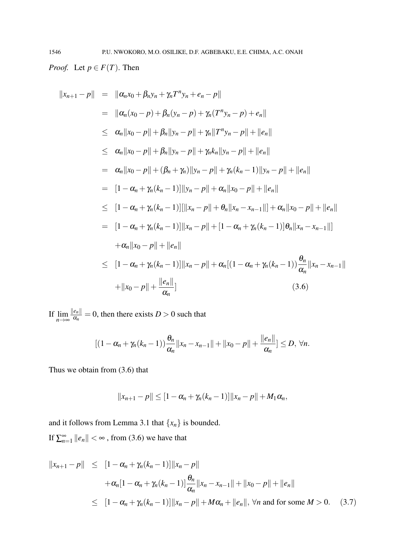*Proof.* Let  $p \in F(T)$ . Then

$$
||x_{n+1} - p|| = ||\alpha_n x_0 + \beta_n y_n + \gamma_n T^n y_n + e_n - p||
$$
  
\n
$$
= ||\alpha_n (x_0 - p) + \beta_n (y_n - p) + \gamma_n (T^n y_n - p) + e_n||
$$
  
\n
$$
\leq \alpha_n ||x_0 - p|| + \beta_n ||y_n - p|| + \gamma_n ||T^n y_n - p|| + ||e_n||
$$
  
\n
$$
\leq \alpha_n ||x_0 - p|| + \beta_n ||y_n - p|| + \gamma_n k_n ||y_n - p|| + ||e_n||
$$
  
\n
$$
= \alpha_n ||x_0 - p|| + (\beta_n + \gamma_n) ||y_n - p|| + \gamma_n (k_n - 1) ||y_n - p|| + ||e_n||
$$
  
\n
$$
= [1 - \alpha_n + \gamma_n (k_n - 1)] ||y_n - p|| + \alpha_n ||x_0 - p|| + ||e_n||
$$
  
\n
$$
\leq [1 - \alpha_n + \gamma_n (k_n - 1)] ||x_n - p|| + |\beta_n ||x_n - x_{n-1}|| + |\alpha_n ||x_0 - p|| + ||e_n||
$$
  
\n
$$
= [1 - \alpha_n + \gamma_n (k_n - 1)] ||x_n - p|| + [1 - \alpha_n + \gamma_n (k_n - 1)] \theta_n ||x_n - x_{n-1}||
$$
  
\n
$$
+ \alpha_n ||x_0 - p|| + ||e_n||
$$
  
\n
$$
\leq [1 - \alpha_n + \gamma_n (k_n - 1)] ||x_n - p|| + \alpha_n [(1 - \alpha_n + \gamma_n (k_n - 1)) \frac{\theta_n}{\alpha_n} ||x_n - x_{n-1}||
$$
  
\n
$$
+ ||x_0 - p|| + \frac{||e_n||}{\alpha_n}]
$$
  
\n(3.6)

If  $\lim_{n\to\infty}$  $\|e_n\|$  $\frac{e_{n\parallel}}{\alpha_n} = 0$ , then there exists  $D > 0$  such that

$$
[(1-\alpha_n+\gamma_n(k_n-1))\frac{\theta_n}{\alpha_n}||x_n-x_{n-1}||+||x_0-p||+\frac{||e_n||}{\alpha_n}]\leq D, \forall n.
$$

Thus we obtain from (3.6) that

$$
||x_{n+1}-p|| \leq [1-\alpha_n+\gamma_n(k_n-1)]||x_n-p||+M_1\alpha_n,
$$

and it follows from Lemma 3.1 that  $\{x_n\}$  is bounded. If  $\sum_{n=1}^{\infty} ||e_n|| < \infty$ , from (3.6) we have that

$$
||x_{n+1} - p|| \leq [1 - \alpha_n + \gamma_n(k_n - 1)] ||x_n - p||
$$
  
+  $\alpha_n [1 - \alpha_n + \gamma_n(k_n - 1)] \frac{\theta_n}{\alpha_n} ||x_n - x_{n-1}|| + ||x_0 - p|| + ||e_n||$   
 $\leq [1 - \alpha_n + \gamma_n(k_n - 1)] ||x_n - p|| + M\alpha_n + ||e_n||, \forall n \text{ and for some } M > 0.$  (3.7)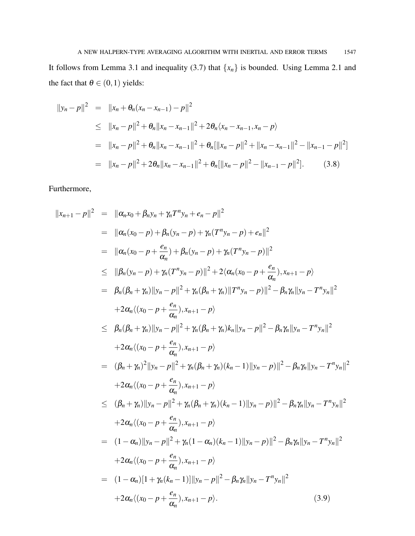It follows from Lemma 3.1 and inequality (3.7) that  $\{x_n\}$  is bounded. Using Lemma 2.1 and the fact that  $\theta \in (0,1)$  yields:

$$
||y_n - p||^2 = ||x_n + \theta_n(x_n - x_{n-1}) - p||^2
$$
  
\n
$$
\leq ||x_n - p||^2 + \theta_n ||x_n - x_{n-1}||^2 + 2\theta_n \langle x_n - x_{n-1}, x_n - p \rangle
$$
  
\n
$$
= ||x_n - p||^2 + \theta_n ||x_n - x_{n-1}||^2 + \theta_n [||x_n - p||^2 + ||x_n - x_{n-1}||^2 - ||x_{n-1} - p||^2]
$$
  
\n
$$
= ||x_n - p||^2 + 2\theta_n ||x_n - x_{n-1}||^2 + \theta_n [||x_n - p||^2 - ||x_{n-1} - p||^2].
$$
 (3.8)

Furthermore,

$$
||x_{n+1} - p||^2 = ||\alpha_n x_0 + \beta_n y_n + \gamma_n T^n y_n + e_n - p||^2
$$
  
\n
$$
= ||\alpha_n (x_0 - p) + \beta_n (y_n - p) + \gamma_n (T^n y_n - p) + e_n||^2
$$
  
\n
$$
= ||\alpha_n (x_0 - p + \frac{e_n}{\alpha_n}) + \beta_n (y_n - p) + \gamma_n (T^n y_n - p)||^2
$$
  
\n
$$
\leq ||\beta_n (y_n - p) + \gamma_n (T^n y_n - p)||^2 + 2 \langle \alpha_n (x_0 - p + \frac{e_n}{\alpha_n}), x_{n+1} - p \rangle
$$
  
\n
$$
= \beta_n (\beta_n + \gamma_n) ||y_n - p||^2 + \gamma_n (\beta_n + \gamma_n) ||T^n y_n - p||^2 - \beta_n \gamma_n ||y_n - T^n y_n||^2
$$
  
\n
$$
+ 2 \alpha_n \langle (x_0 - p + \frac{e_n}{\alpha_n}), x_{n+1} - p \rangle
$$
  
\n
$$
\leq \beta_n (\beta_n + \gamma_n) ||y_n - p||^2 + \gamma_n (\beta_n + \gamma_n) k_n ||y_n - p||^2 - \beta_n \gamma_n ||y_n - T^n y_n||^2
$$
  
\n
$$
+ 2 \alpha_n \langle (x_0 - p + \frac{e_n}{\alpha_n}), x_{n+1} - p \rangle
$$
  
\n
$$
= (\beta_n + \gamma_n)^2 ||y_n - p||^2 + \gamma_n (\beta_n + \gamma_n) (k_n - 1) ||y_n - p||^2 - \beta_n \gamma_n ||y_n - T^n y_n||^2
$$
  
\n
$$
+ 2 \alpha_n \langle (x_0 - p + \frac{e_n}{\alpha_n}), x_{n+1} - p \rangle
$$
  
\n
$$
\leq (\beta_n + \gamma_n) ||y_n - p||^2 + \gamma_n (\beta_n + \gamma_n) (k_n - 1) ||y_n - p||^2 - \beta_n \gamma_n ||y_n - T^n y_n||^2
$$
  
\n
$$
+ 2 \alpha_n \langle (x_0 - p + \frac{e_n}{\alpha_n}), x_{n+1} - p \rangle
$$
  
\n
$$
= (1 - \alpha_n) ||y_n - p||^2 + \gamma_n (1 - \alpha_n) (k_n - 1) ||y_n - p
$$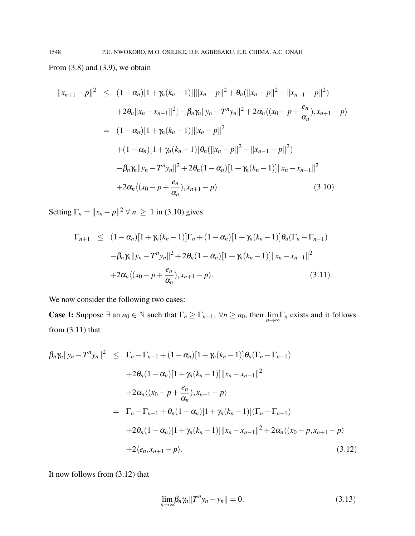From  $(3.8)$  and  $(3.9)$ , we obtain

$$
||x_{n+1} - p||^2 \le (1 - \alpha_n)[1 + \gamma_n(k_n - 1)][||x_n - p||^2 + \theta_n(||x_n - p||^2 - ||x_{n-1} - p||^2)
$$
  
+2 $\theta_n ||x_n - x_{n-1}||^2 ] - \beta_n \gamma_n ||y_n - T^n y_n||^2 + 2\alpha_n \langle (x_0 - p + \frac{e_n}{\alpha_n}), x_{n+1} - p \rangle$   
=  $(1 - \alpha_n)[1 + \gamma_n(k_n - 1)] ||x_n - p||^2$   
+  $(1 - \alpha_n)[1 + \gamma_n(k_n - 1)] \theta_n (||x_n - p||^2 - ||x_{n-1} - p||^2)$   
 $-\beta_n \gamma_n ||y_n - T^n y_n||^2 + 2\theta_n (1 - \alpha_n)[1 + \gamma_n(k_n - 1)] ||x_n - x_{n-1}||^2$   
+2 $\alpha_n \langle (x_0 - p + \frac{e_n}{\alpha_n}), x_{n+1} - p \rangle$  (3.10)

Setting  $\Gamma_n = ||x_n - p||^2 \ \forall \ n \geq 1$  in (3.10) gives

$$
\Gamma_{n+1} \leq (1 - \alpha_n)[1 + \gamma_n(k_n - 1)]\Gamma_n + (1 - \alpha_n)[1 + \gamma_n(k_n - 1)]\theta_n(\Gamma_n - \Gamma_{n-1})
$$
  

$$
- \beta_n \gamma_n ||y_n - T^n y_n||^2 + 2\theta_n (1 - \alpha_n)[1 + \gamma_n(k_n - 1)] ||x_n - x_{n-1}||^2
$$
  

$$
+ 2\alpha_n \langle (x_0 - p + \frac{e_n}{\alpha_n}), x_{n+1} - p \rangle.
$$
 (3.11)

We now consider the following two cases:

**Case I:** Suppose  $\exists$  an  $n_0 \in \mathbb{N}$  such that  $\Gamma_n \geq \Gamma_{n+1}$ ,  $\forall n \geq n_0$ , then  $\lim_{n \to \infty} \Gamma_n$  exists and it follows from  $(3.11)$  that

$$
\beta_n \gamma_n ||y_n - T^n y_n||^2 \leq \Gamma_n - \Gamma_{n+1} + (1 - \alpha_n)[1 + \gamma_n(k_n - 1)] \theta_n(\Gamma_n - \Gamma_{n-1})
$$
  
+2\theta\_n (1 - \alpha\_n)[1 + \gamma\_n(k\_n - 1)] ||x\_n - x\_{n-1}||^2  
+2\alpha\_n \langle (x\_0 - p + \frac{e\_n}{\alpha\_n}), x\_{n+1} - p \rangle  
= \Gamma\_n - \Gamma\_{n+1} + \theta\_n (1 - \alpha\_n)[1 + \gamma\_n(k\_n - 1)](\Gamma\_n - \Gamma\_{n-1})  
+2\theta\_n (1 - \alpha\_n)[1 + \gamma\_n(k\_n - 1)] ||x\_n - x\_{n-1}||^2 + 2\alpha\_n \langle (x\_0 - p, x\_{n+1} - p \rangle)  
+2\langle e\_n, x\_{n+1} - p \rangle. (3.12)

It now follows from (3.12) that

$$
\lim_{n \to \infty} \beta_n \gamma_n \|T^n y_n - y_n\| = 0. \tag{3.13}
$$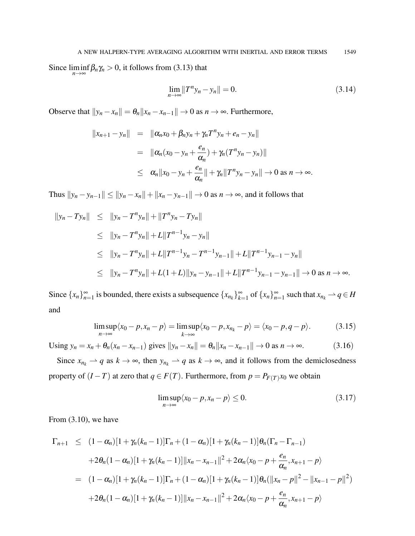Since  $\liminf_{n \to \infty} \beta_n \gamma_n > 0$ , it follows from (3.13) that

$$
\lim_{n \to \infty} ||T^n y_n - y_n|| = 0.
$$
\n(3.14)

Observe that  $||y_n - x_n|| = \theta_n ||x_n - x_{n-1}|| \to 0$  as  $n \to \infty$ . Furthermore,

$$
||x_{n+1} - y_n|| = ||\alpha_n x_0 + \beta_n y_n + \gamma_n T^n y_n + e_n - y_n||
$$
  
=  $||\alpha_n (x_0 - y_n + \frac{e_n}{\alpha_n}) + \gamma_n (T^n y_n - y_n)||$   
 $\leq \alpha_n ||x_0 - y_n + \frac{e_n}{\alpha_n}|| + \gamma_n ||T^n y_n - y_n|| \to 0 \text{ as } n \to \infty.$ 

Thus  $||y_n - y_{n-1}|| \le ||y_n - x_n|| + ||x_n - y_{n-1}|| \to 0$  as  $n \to \infty$ , and it follows that

$$
\|y_n - Ty_n\| \le \|y_n - T^n y_n\| + \|T^n y_n - Ty_n\|
$$
  
\n
$$
\le \|y_n - T^n y_n\| + L\|T^{n-1} y_n - y_n\|
$$
  
\n
$$
\le \|y_n - T^n y_n\| + L\|T^{n-1} y_n - T^{n-1} y_{n-1}\| + L\|T^{n-1} y_{n-1} - y_n\|
$$
  
\n
$$
\le \|y_n - T^n y_n\| + L(1 + L)\|y_n - y_{n-1}\| + L\|T^{n-1} y_{n-1} - y_{n-1}\| \to 0 \text{ as } n \to \infty.
$$

Since  $\{x_n\}_{n=1}^{\infty}$  is bounded, there exists a subsequence  $\{x_{n_k}\}_{k=1}^{\infty}$  of  $\{x_n\}_{n=1}^{\infty}$  such that  $x_{n_k} \to q \in H$ and

$$
\limsup_{n\to\infty}\langle x_0-p,x_n-p\rangle=\limsup_{k\to\infty}\langle x_0-p,x_{n_k}-p\rangle=\langle x_0-p,q-p\rangle.
$$
 (3.15)

Using  $y_n = x_n + \theta_n(x_n - x_{n-1})$  gives  $||y_n - x_n|| = \theta_n ||x_n - x_{n-1}|| \to 0$  as  $n \to \infty$ . (3.16)

Since  $x_{n_k} \rightharpoonup q$  as  $k \rightarrow \infty$ , then  $y_{n_k} \rightharpoonup q$  as  $k \rightarrow \infty$ , and it follows from the demiclosedness property of  $(I - T)$  at zero that  $q \in F(T)$ . Furthermore, from  $p = P_{F(T)}x_0$  we obtain

$$
\limsup_{n \to \infty} \langle x_0 - p, x_n - p \rangle \le 0. \tag{3.17}
$$

From (3.10), we have

$$
\Gamma_{n+1} \leq (1 - \alpha_n)[1 + \gamma_n(k_n - 1)]\Gamma_n + (1 - \alpha_n)[1 + \gamma_n(k_n - 1)]\theta_n(\Gamma_n - \Gamma_{n-1})
$$
  
+2 $\theta_n(1 - \alpha_n)[1 + \gamma_n(k_n - 1)]\|x_n - x_{n-1}\|^2 + 2\alpha_n\langle x_0 - p + \frac{e_n}{\alpha_n}, x_{n+1} - p \rangle$   
=  $(1 - \alpha_n)[1 + \gamma_n(k_n - 1)]\Gamma_n + (1 - \alpha_n)[1 + \gamma_n(k_n - 1)]\theta_n(\|x_n - p\|^2 - \|x_{n-1} - p\|^2)$   
+2 $\theta_n(1 - \alpha_n)[1 + \gamma_n(k_n - 1)]\|x_n - x_{n-1}\|^2 + 2\alpha_n\langle x_0 - p + \frac{e_n}{\alpha_n}, x_{n+1} - p \rangle$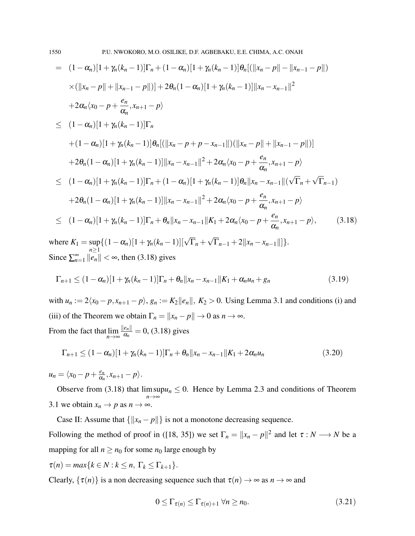$$
= (1 - \alpha_n)[1 + \gamma_n(k_n - 1)]\Gamma_n + (1 - \alpha_n)[1 + \gamma_n(k_n - 1)]\theta_n[(\|x_n - p\| - \|x_{n-1} - p\|])
$$
  
\n
$$
\times (\|x_n - p\| + \|x_{n-1} - p\|)] + 2\theta_n(1 - \alpha_n)[1 + \gamma_n(k_n - 1)]\|x_n - x_{n-1}\|^2
$$
  
\n
$$
+ 2\alpha_n\langle x_0 - p + \frac{e_n}{\alpha_n}, x_{n+1} - p\rangle
$$
  
\n
$$
\leq (1 - \alpha_n)[1 + \gamma_n(k_n - 1)]\Gamma_n
$$
  
\n
$$
+ (1 - \alpha_n)[1 + \gamma_n(k_n - 1)]\theta_n[(\|x_n - p + p - x_{n-1}\|)(\|x_n - p\| + \|x_{n-1} - p\|)]
$$
  
\n
$$
+ 2\theta_n(1 - \alpha_n)[1 + \gamma_n(k_n - 1)]\|x_n - x_{n-1}\|^2 + 2\alpha_n\langle x_0 - p + \frac{e_n}{\alpha_n}, x_{n+1} - p\rangle
$$
  
\n
$$
\leq (1 - \alpha_n)[1 + \gamma_n(k_n - 1)]\Gamma_n + (1 - \alpha_n)[1 + \gamma_n(k_n - 1)]\theta_n\|x_n - x_{n-1}\|(\sqrt{\Gamma_n} + \sqrt{\Gamma_{n-1}})
$$
  
\n
$$
+ 2\theta_n(1 - \alpha_n)[1 + \gamma_n(k_n - 1)]\|x_n - x_{n-1}\|^2 + 2\alpha_n\langle x_0 - p + \frac{e_n}{\alpha_n}, x_{n+1} - p\rangle
$$
  
\n
$$
\leq (1 - \alpha_n)[1 + \gamma_n(k_n - 1)]\Gamma_n + \theta_n\|x_n - x_{n-1}\|K_1 + 2\alpha_n\langle x_0 - p + \frac{e_n}{\alpha_n}, x_{n+1} - p\rangle,
$$
  
\n(3.18)

where  $K_1 = \sup$ *n*≥1  $\{(1-\alpha_n)[1+\gamma_n(k_n-1)][\sqrt{\Gamma}_n +$  $\Gamma_{n-1} + 2||x_n - x_{n-1}||$ }. Since  $\sum_{n=1}^{\infty} ||e_n|| < \infty$ , then (3.18) gives

$$
\Gamma_{n+1} \le (1 - \alpha_n)[1 + \gamma_n(k_n - 1)]\Gamma_n + \theta_n ||x_n - x_{n-1}||K_1 + \alpha_n u_n + g_n
$$
\n(3.19)

with  $u_n := 2\langle x_0 - p, x_{n+1} - p \rangle$ ,  $g_n := K_2 ||e_n||$ ,  $K_2 > 0$ . Using Lemma 3.1 and conditions (i) and (iii) of the Theorem we obtain  $\Gamma_n = ||x_n - p|| \to 0$  as  $n \to \infty$ .  $\|e_n\|$ 

From the fact that lim *n*→∞  $rac{e_{n\parallel}}{\alpha_n}$  = 0, (3.18) gives

$$
\Gamma_{n+1} \le (1 - \alpha_n)[1 + \gamma_n(k_n - 1)]\Gamma_n + \theta_n ||x_n - x_{n-1}||K_1 + 2\alpha_n u_n
$$
\n(3.20)

 $u_n = \langle x_0 - p + \frac{e_n}{\alpha_n} \rangle$  $\frac{e_n}{\alpha_n}, x_{n+1} - p.$ 

Observe from (3.18) that lim sup *n*→∞  $u_n \leq 0$ . Hence by Lemma 2.3 and conditions of Theorem 3.1 we obtain  $x_n \to p$  as  $n \to \infty$ .

Case II: Assume that  $\{\Vert x_n - p \Vert\}$  is not a monotone decreasing sequence. Following the method of proof in ([18, 35]) we set  $\Gamma_n = ||x_n - p||^2$  and let  $\tau : N \longrightarrow N$  be a mapping for all  $n \geq n_0$  for some  $n_0$  large enough by

 $\tau(n) = max\{k \in N : k \leq n, \Gamma_k \leq \Gamma_{k+1}\}.$ 

Clearly,  $\{\tau(n)\}\$ is a non decreasing sequence such that  $\tau(n) \to \infty$  as  $n \to \infty$  and

$$
0 \leq \Gamma_{\tau(n)} \leq \Gamma_{\tau(n)+1} \,\forall n \geq n_0. \tag{3.21}
$$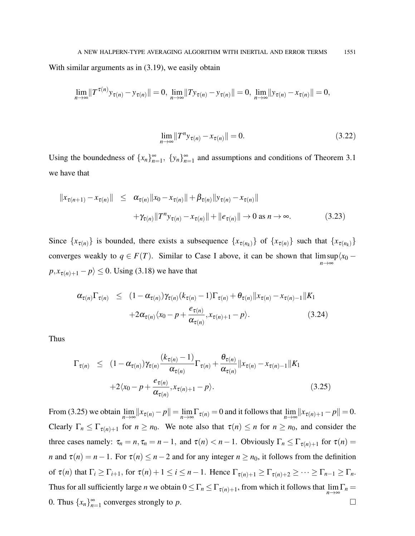With similar arguments as in  $(3.19)$ , we easily obtain

$$
\lim_{n\to\infty}||T^{\tau(n)}y_{\tau(n)}-y_{\tau(n)}||=0, \ \lim_{n\to\infty}||Ty_{\tau(n)}-y_{\tau(n)}||=0, \ \lim_{n\to\infty}||y_{\tau(n)}-x_{\tau(n)}||=0,
$$

$$
\lim_{n \to \infty} ||T^n y_{\tau(n)} - x_{\tau(n)}|| = 0.
$$
\n(3.22)

Using the boundedness of  $\{x_n\}_{n=1}^{\infty}$ ,  $\{y_n\}_{n=1}^{\infty}$  and assumptions and conditions of Theorem 3.1 we have that

$$
||x_{\tau(n+1)} - x_{\tau(n)}|| \leq \alpha_{\tau(n)} ||x_0 - x_{\tau(n)}|| + \beta_{\tau(n)} ||y_{\tau(n)} - x_{\tau(n)}|| + \gamma_{\tau(n)} ||T^n y_{\tau(n)} - x_{\tau(n)}|| + ||e_{\tau(n)}|| \to 0 \text{ as } n \to \infty.
$$
 (3.23)

Since  $\{x_{\tau(n)}\}$  is bounded, there exists a subsequence  $\{x_{\tau(n_k)}\}$  of  $\{x_{\tau(n_k)}\}$  such that  $\{x_{\tau(n_k)}\}$ converges weakly to  $q \in F(T)$ . Similar to Case I above, it can be shown that  $\limsup \langle x_0$ *n*→∞  $p, x_{\tau(n)+1} - p \ge 0$ . Using (3.18) we have that

$$
\alpha_{\tau(n)} \Gamma_{\tau(n)} \leq (1 - \alpha_{\tau(n)}) \gamma_{\tau(n)} (k_{\tau(n)} - 1) \Gamma_{\tau(n)} + \theta_{\tau(n)} \|x_{\tau(n)} - x_{\tau(n)-1}\| K_1
$$
  
+2\alpha\_{\tau(n)} \langle x\_0 - p + \frac{e\_{\tau(n)}}{\alpha\_{\tau(n)}}, x\_{\tau(n)+1} - p \rangle. (3.24)

Thus

$$
\Gamma_{\tau(n)} \leq (1 - \alpha_{\tau(n)}) \gamma_{\tau(n)} \frac{(k_{\tau(n)} - 1)}{\alpha_{\tau(n)}} \Gamma_{\tau(n)} + \frac{\theta_{\tau(n)}}{\alpha_{\tau(n)}} ||x_{\tau(n)} - x_{\tau(n)-1}||K_1 + 2\langle x_0 - p + \frac{e_{\tau(n)}}{\alpha_{\tau(n)}}, x_{\tau(n)+1} - p \rangle.
$$
\n(3.25)

From (3.25) we obtain  $\lim_{n\to\infty} ||x_{\tau(n)} - p|| = \lim_{n\to\infty} \Gamma_{\tau(n)} = 0$  and it follows that  $\lim_{n\to\infty} ||x_{\tau(n)+1} - p|| = 0$ . Clearly  $\Gamma_n \leq \Gamma_{\tau(n)+1}$  for  $n \geq n_0$ . We note also that  $\tau(n) \leq n$  for  $n \geq n_0$ , and consider the three cases namely:  $\tau_n = n$ ,  $\tau_n = n - 1$ , and  $\tau(n) < n - 1$ . Obviously  $\Gamma_n \leq \Gamma_{\tau(n)+1}$  for  $\tau(n) =$ *n* and  $\tau(n) = n - 1$ . For  $\tau(n) \leq n - 2$  and for any integer  $n \geq n_0$ , it follows from the definition of  $\tau(n)$  that  $\Gamma_i \geq \Gamma_{i+1}$ , for  $\tau(n) + 1 \leq i \leq n-1$ . Hence  $\Gamma_{\tau(n)+1} \geq \Gamma_{\tau(n)+2} \geq \cdots \geq \Gamma_{n-1} \geq \Gamma_n$ . Thus for all sufficiently large *n* we obtain  $0 \leq \Gamma_n \leq \Gamma_{\tau(n)+1}$ , from which it follows that  $\lim_{n\to\infty} \Gamma_n =$ 0. Thus  $\{x_n\}_{n=1}^{\infty}$  converges strongly to *p*.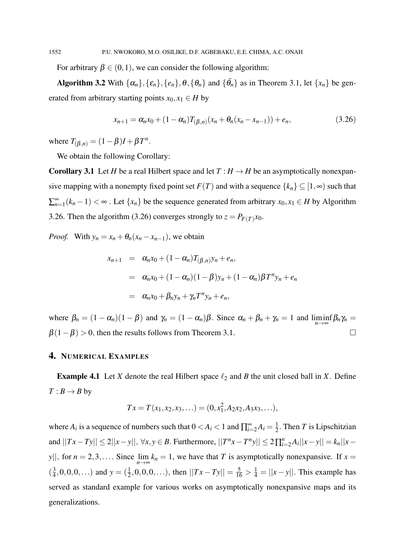For arbitrary  $\beta \in (0,1)$ , we can consider the following algorithm:

Algorithm 3.2 With  $\{\alpha_n\}$ ,  $\{\epsilon_n\}$ ,  $\{\theta_n\}$ ,  $\{\theta_n\}$  and  $\{\bar{\theta}_n\}$  as in Theorem 3.1, let  $\{x_n\}$  be generated from arbitrary starting points  $x_0, x_1 \in H$  by

$$
x_{n+1} = \alpha_n x_0 + (1 - \alpha_n) T_{(\beta, n)}(x_n + \theta_n (x_n - x_{n-1})) + e_n,
$$
\n(3.26)

where  $T_{(\beta,n)} = (1-\beta)I + \beta T^n$ .

We obtain the following Corollary:

**Corollary 3.1** Let *H* be a real Hilbert space and let  $T : H \to H$  be an asymptotically nonexpansive mapping with a nonempty fixed point set  $F(T)$  and with a sequence  $\{k_n\} \subseteq [1,\infty)$  such that  $\sum_{n=1}^{\infty} (k_n - 1) < \infty$ . Let  $\{x_n\}$  be the sequence generated from arbitrary  $x_0, x_1 \in H$  by Algorithm 3.26. Then the algorithm (3.26) converges strongly to  $z = P_{F(T)}x_0$ .

*Proof.* With  $y_n = x_n + \theta_n(x_n - x_{n-1})$ , we obtain

$$
x_{n+1} = \alpha_n x_0 + (1 - \alpha_n) T_{(\beta,n)} y_n + e_n,
$$
  
\n
$$
= \alpha_n x_0 + (1 - \alpha_n) (1 - \beta) y_n + (1 - \alpha_n) \beta T^n y_n + e_n,
$$
  
\n
$$
= \alpha_n x_0 + \beta_n y_n + \gamma_n T^n y_n + e_n,
$$

where  $\beta_n = (1 - \alpha_n)(1 - \beta)$  and  $\gamma_n = (1 - \alpha_n)\beta$ . Since  $\alpha_n + \beta_n + \gamma_n = 1$  and  $\liminf_{n \to \infty} \beta_n \gamma_n =$  $\beta(1-\beta) > 0$ , then the results follows from Theorem 3.1.

# 4. NUMERICAL EXAMPLES

**Example 4.1** Let *X* denote the real Hilbert space  $\ell_2$  and *B* the unit closed ball in *X*. Define  $T : B \to B$  by

$$
Tx = T(x_1, x_2, x_3, \ldots) = (0, x_1^2, A_2x_2, A_3x_3, \ldots),
$$

where  $A_i$  is a sequence of numbers such that  $0 < A_i < 1$  and  $\prod_{i=2}^{\infty} A_i = \frac{1}{2}$  $\frac{1}{2}$ . Then *T* is Lipschitzian and  $||Tx - Ty|| \le 2||x - y||$ ,  $\forall x, y \in B$ . Furthermore,  $||T^n x - T^n y|| \le 2 \prod_{i=2}^n A_i ||x - y|| = k_n ||x - y||$ *y*||, for *n* = 2,3,.... Since  $\lim_{n\to\infty} k_n = 1$ , we have that *T* is asymptotically nonexpansive. If *x* =  $\left(\frac{3}{4}\right)$  $\frac{3}{4}$ , 0, 0, 0, ...) and  $y = (\frac{1}{2}, 0, 0, 0, \ldots)$ , then  $||Tx - Ty|| = \frac{5}{16} > \frac{1}{4} = ||x - y||$ . This example has served as standard example for various works on asymptotically nonexpansive maps and its generalizations.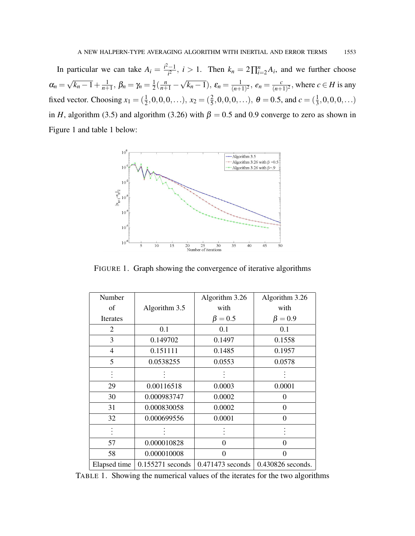In particular we can take  $A_i = \frac{i^2 - 1}{i^2}$  $\frac{(-1)^n}{i^2}$ ,  $i > 1$ . Then  $k_n = 2 \prod_{i=2}^n A_i$ , and we further choose  $\alpha_n =$ √  $\frac{1}{k_n-1} + \frac{1}{n+1}$  $\frac{1}{n+1}$ ,  $\beta_n = \gamma_n = \frac{1}{2}$  $\frac{1}{2}(\frac{n}{n+1} -$ √  $(\overline{k_n-1}), \varepsilon_n = \frac{1}{(n+1)}$  $\frac{1}{(n+1)^2}$ ,  $e_n = \frac{c}{(n+1)^2}$  $\frac{c}{(n+1)^2}$ , where  $c \in H$  is any fixed vector. Choosing  $x_1 = (\frac{1}{2}, 0, 0, 0, \ldots), x_2 = (\frac{2}{5}, 0, 0, 0, \ldots), \theta = 0.5$ , and  $c = (\frac{1}{3}, 0, 0, 0, \ldots)$ in *H*, algorithm (3.5) and algorithm (3.26) with  $\beta = 0.5$  and 0.9 converge to zero as shown in Figure 1 and table 1 below:



FIGURE 1. Graph showing the convergence of iterative algorithms

| Number         |                  | Algorithm 3.26     | Algorithm 3.26    |
|----------------|------------------|--------------------|-------------------|
| of             | Algorithm 3.5    | with               | with              |
| Iterates       |                  | $\beta = 0.5$      | $\beta = 0.9$     |
| 2              | 0.1              | 0.1                | 0.1               |
| 3              | 0.149702         | 0.1497             | 0.1558            |
| $\overline{4}$ | 0.151111         | 0.1485             | 0.1957            |
| 5              | 0.0538255        | 0.0553             | 0.0578            |
|                |                  |                    |                   |
| 29             | 0.00116518       | 0.0003             | 0.0001            |
| 30             | 0.000983747      | 0.0002             | $\Omega$          |
| 31             | 0.000830058      | 0.0002             | $\Omega$          |
| 32             | 0.000699556      | 0.0001             | 0                 |
|                |                  |                    |                   |
| 57             | 0.000010828      | $\theta$           | $\theta$          |
| 58             | 0.000010008      | 0                  | 0                 |
| Elapsed time   | 0.155271 seconds | $0.471473$ seconds | 0.430826 seconds. |

TABLE 1. Showing the numerical values of the iterates for the two algorithms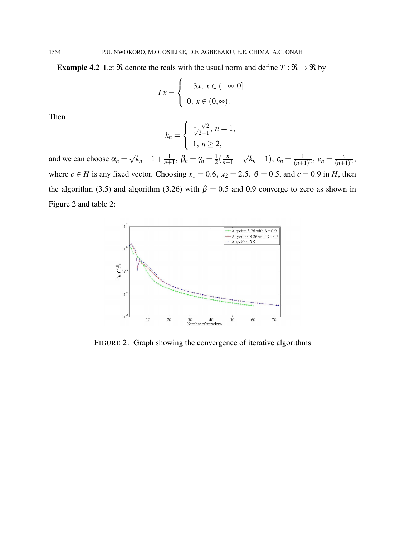**Example 4.2** Let  $\Re$  denote the reals with the usual norm and define  $T : \Re \rightarrow \Re$  by

$$
Tx = \begin{cases} -3x, x \in (-\infty, 0] \\ 0, x \in (0, \infty). \end{cases}
$$

Then

$$
k_n = \begin{cases} \frac{1+\sqrt{2}}{\sqrt{2}-1}, \ n = 1, \\ 1, \ n \ge 2, \end{cases}
$$

and we can choose  $\alpha_n =$ √  $\frac{1}{k_n-1} + \frac{1}{n+1}$  $\frac{1}{n+1}$ ,  $\beta_n = \gamma_n = \frac{1}{2}$  $\frac{1}{2}(\frac{n}{n+1} -$ √  $(\overline{k_n-1}), \varepsilon_n = \frac{1}{(n+1)}$  $\frac{1}{(n+1)^2}$ ,  $e_n = \frac{c}{(n+1)^2}$  $\frac{c}{(n+1)^2}$ where  $c \in H$  is any fixed vector. Choosing  $x_1 = 0.6$ ,  $x_2 = 2.5$ ,  $\theta = 0.5$ , and  $c = 0.9$  in *H*, then the algorithm (3.5) and algorithm (3.26) with  $\beta = 0.5$  and 0.9 converge to zero as shown in Figure 2 and table 2:



FIGURE 2. Graph showing the convergence of iterative algorithms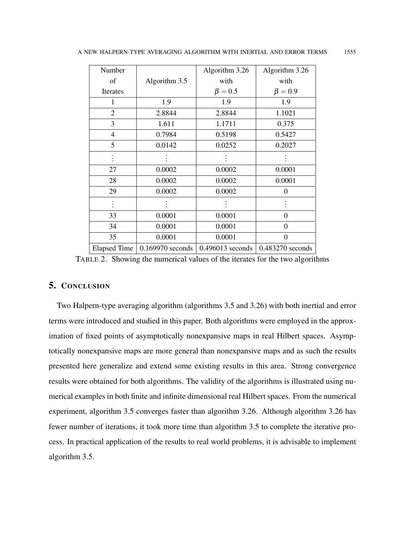| Number              |                  | Algorithm 3.26   | Algorithm 3.26   |
|---------------------|------------------|------------------|------------------|
| of                  | Algorithm 3.5    | with             | with             |
| Iterates            |                  | $\beta = 0.5$    | $\beta = 0.9$    |
| 1                   | 1.9              | 1.9              | 1.9              |
| $\mathfrak{2}$      | 2.8844           | 2.8844           | 1.1021           |
| 3                   | 1.611            | 1.1711           | 0.375            |
| 4                   | 0.7984           | 0.5198           | 0.5427           |
| 5                   | 0.0142           | 0.0252           | 0.2027           |
|                     |                  |                  |                  |
| 27                  | 0.0002           | 0.0002           | 0.0001           |
| 28                  | 0.0002           | 0.0002           | 0.0001           |
| 29                  | 0.0002           | 0.0002           | $\theta$         |
|                     |                  |                  |                  |
| 33                  | 0.0001           | 0.0001           | $\overline{0}$   |
| 34                  | 0.0001           | 0.0001           | $\theta$         |
| 35                  | 0.0001           | 0.0001           | $\theta$         |
| <b>Elapsed Time</b> | 0.169970 seconds | 0.496013 seconds | 0.483270 seconds |

TABLE 2. Showing the numerical values of the iterates for the two algorithms

## 5. CONCLUSION

Two Halpern-type averaging algorithm (algorithms 3.5 and 3.26) with both inertial and error terms were introduced and studied in this paper. Both algorithms were employed in the approximation of fixed points of asymptotically nonexpansive maps in real Hilbert spaces. Asymptotically nonexpansive maps are more general than nonexpansive maps and as such the results presented here generalize and extend some existing results in this area. Strong convergence results were obtained for both algorithms. The validity of the algorithms is illustrated using numerical examples in both finite and infinite dimensional real Hilbert spaces. From the numerical experiment, algorithm 3.5 converges faster than algorithm 3.26. Although algorithm 3.26 has fewer number of iterations, it took more time than algorithm 3.5 to complete the iterative process. In practical application of the results to real world problems, it is advisable to implement algorithm 3.5.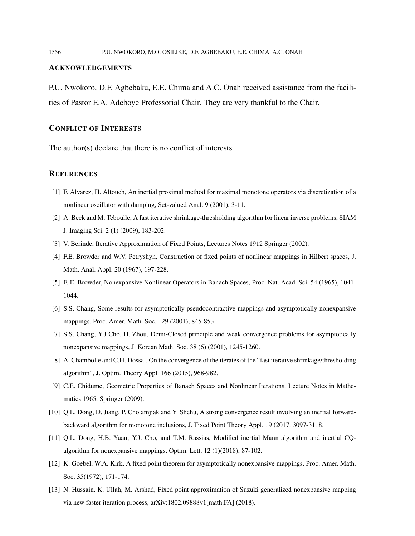#### ACKNOWLEDGEMENTS

P.U. Nwokoro, D.F. Agbebaku, E.E. Chima and A.C. Onah received assistance from the facilities of Pastor E.A. Adeboye Professorial Chair. They are very thankful to the Chair.

### CONFLICT OF INTERESTS

The author(s) declare that there is no conflict of interests.

#### **REFERENCES**

- [1] F. Alvarez, H. Altouch, An inertial proximal method for maximal monotone operators via discretization of a nonlinear oscillator with damping, Set-valued Anal. 9 (2001), 3-11.
- [2] A. Beck and M. Teboulle, A fast iterative shrinkage-thresholding algorithm for linear inverse problems, SIAM J. Imaging Sci. 2 (1) (2009), 183-202.
- [3] V. Berinde, Iterative Approximation of Fixed Points, Lectures Notes 1912 Springer (2002).
- [4] F.E. Browder and W.V. Petryshyn, Construction of fixed points of nonlinear mappings in Hilbert spaces, J. Math. Anal. Appl. 20 (1967), 197-228.
- [5] F. E. Browder, Nonexpansive Nonlinear Operators in Banach Spaces, Proc. Nat. Acad. Sci. 54 (1965), 1041- 1044.
- [6] S.S. Chang, Some results for asymptotically pseudocontractive mappings and asymptotically nonexpansive mappings, Proc. Amer. Math. Soc. 129 (2001), 845-853.
- [7] S.S. Chang, Y.J Cho, H. Zhou, Demi-Closed principle and weak convergence problems for asymptotically nonexpansive mappings, J. Korean Math. Soc. 38 (6) (2001), 1245-1260.
- [8] A. Chambolle and C.H. Dossal, On the convergence of the iterates of the "fast iterative shrinkage/thresholding algorithm", J. Optim. Theory Appl. 166 (2015), 968-982.
- [9] C.E. Chidume, Geometric Properties of Banach Spaces and Nonlinear Iterations, Lecture Notes in Mathematics 1965, Springer (2009).
- [10] Q.L. Dong, D. Jiang, P. Cholamjiak and Y. Shehu, A strong convergence result involving an inertial forwardbackward algorithm for monotone inclusions, J. Fixed Point Theory Appl. 19 (2017, 3097-3118.
- [11] Q.L. Dong, H.B. Yuan, Y.J. Cho, and T.M. Rassias, Modified inertial Mann algorithm and inertial CQalgorithm for nonexpansive mappings, Optim. Lett. 12 (1)(2018), 87-102.
- [12] K. Goebel, W.A. Kirk, A fixed point theorem for asymptotically nonexpansive mappings, Proc. Amer. Math. Soc. 35(1972), 171-174.
- [13] N. Hussain, K. Ullah, M. Arshad, Fixed point approximation of Suzuki generalized nonexpansive mapping via new faster iteration process, arXiv:1802.09888v1[math.FA] (2018).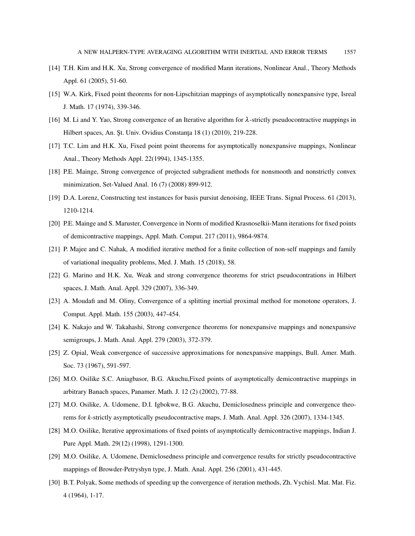- [14] T.H. Kim and H.K. Xu, Strong convergence of modified Mann iterations, Nonlinear Anal., Theory Methods Appl. 61 (2005), 51-60.
- [15] W.A. Kirk, Fixed point theorems for non-Lipschitzian mappings of asymptotically nonexpansive type, Isreal J. Math. 17 (1974), 339-346.
- [16] M. Li and Y. Yao, Strong convergence of an Iterative algorithm for  $\lambda$ -strictly pseudocontractive mappings in Hilbert spaces, An. Șt. Univ. Ovidius Constanța 18 (1) (2010), 219-228.
- [17] T.C. Lim and H.K. Xu, Fixed point point theorems for asymptotically nonexpansive mappings, Nonlinear Anal., Theory Methods Appl. 22(1994), 1345-1355.
- [18] P.E. Mainge, Strong convergence of projected subgradient methods for nonsmooth and nonstrictly convex minimization, Set-Valued Anal. 16 (7) (2008) 899-912.
- [19] D.A. Lorenz, Constructing test instances for basis pursiut denoising, IEEE Trans. Signal Process. 61 (2013), 1210-1214.
- [20] P.E. Mainge and S. Maruster, Convergence in Norm of modified Krasnoselkii-Mann iterations for fixed points of demicontractive mappings, Appl. Math. Comput. 217 (2011), 9864-9874.
- [21] P. Majee and C. Nahak, A modified iterative method for a finite collection of non-self mappings and family of variational inequality problems, Med. J. Math. 15 (2018), 58.
- [22] G. Marino and H.K. Xu, Weak and strong convergence theorems for strict pseudocontrations in Hilbert spaces, J. Math. Anal. Appl. 329 (2007), 336-349.
- [23] A. Moudafi and M. Oliny, Convergence of a splitting inertial proximal method for monotone operators, J. Comput. Appl. Math. 155 (2003), 447-454.
- [24] K. Nakajo and W. Takahashi, Strong convergence theorems for nonexpansive mappings and nonexpansive semigroups, J. Math. Anal. Appl. 279 (2003), 372-379.
- [25] Z. Opial, Weak convergence of successive approximations for nonexpansive mappings, Bull. Amer. Math. Soc. 73 (1967), 591-597.
- [26] M.O. Osilike S.C. Aniagbasor, B.G. Akuchu,Fixed points of asymptotically demicontractive mappings in arbitrary Banach spaces, Panamer. Math. J. 12 (2) (2002), 77-88.
- [27] M.O. Osilike, A. Udomene, D.I. Igbokwe, B.G. Akuchu, Demiclosedness principle and convergence theorems for *k*-strictly asymptotically pseudocontractive maps, J. Math. Anal. Appl. 326 (2007), 1334-1345.
- [28] M.O. Osilike, Iterative approximations of fixed points of asymptotically demicontractive mappings, Indian J. Pure Appl. Math. 29(12) (1998), 1291-1300.
- [29] M.O. Osilike, A. Udomene, Demiclosedness principle and convergence results for strictly pseudocontractive mappings of Browder-Petryshyn type, J. Math. Anal. Appl. 256 (2001), 431-445.
- [30] B.T. Polyak, Some methods of speeding up the convergence of iteration methods, Zh. Vychisl. Mat. Mat. Fiz. 4 (1964), 1-17.